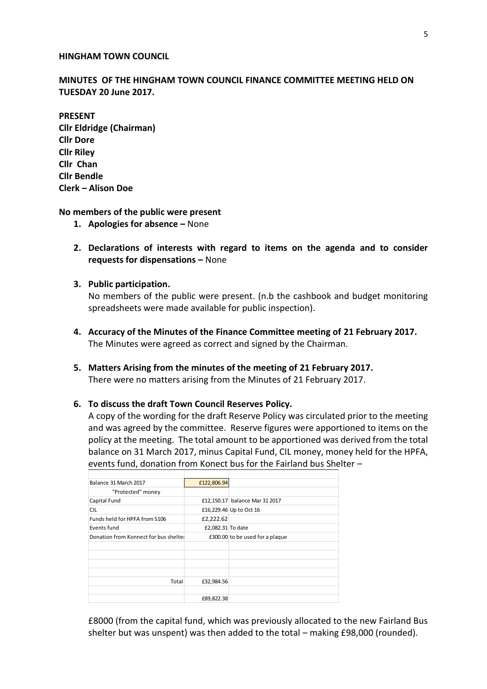#### **HINGHAM TOWN COUNCIL**

**MINUTES OF THE HINGHAM TOWN COUNCIL FINANCE COMMITTEE MEETING HELD ON TUESDAY 20 June 2017.** 

**PRESENT Cllr Eldridge (Chairman) Cllr Dore Cllr Riley Cllr Chan Cllr Bendle Clerk – Alison Doe**

### **No members of the public were present**

- **1. Apologies for absence –** None
- **2. Declarations of interests with regard to items on the agenda and to consider requests for dispensations –** None
- **3. Public participation.**

No members of the public were present. (n.b the cashbook and budget monitoring spreadsheets were made available for public inspection).

- **4. Accuracy of the Minutes of the Finance Committee meeting of 21 February 2017.** The Minutes were agreed as correct and signed by the Chairman.
- **5. Matters Arising from the minutes of the meeting of 21 February 2017.** There were no matters arising from the Minutes of 21 February 2017.

#### **6. To discuss the draft Town Council Reserves Policy.**

A copy of the wording for the draft Reserve Policy was circulated prior to the meeting and was agreed by the committee. Reserve figures were apportioned to items on the policy at the meeting. The total amount to be apportioned was derived from the total balance on 31 March 2017, minus Capital Fund, CIL money, money held for the HPFA, events fund, donation from Konect bus for the Fairland bus Shelter –

| Balance 31 March 2017                | £122,806.94       |                                 |
|--------------------------------------|-------------------|---------------------------------|
| "Protected" money                    |                   |                                 |
| Capital Fund                         |                   | £12,150.17 balance Mar 31 2017  |
| <b>CIL</b>                           |                   | £16,229.46 Up to Oct 16         |
| Funds held for HPFA from S106        | £2,222.62         |                                 |
| Events fund                          | £2,082.31 To date |                                 |
| Donation from Konnect for bus shelte |                   | £300.00 to be used for a plaque |
|                                      |                   |                                 |
|                                      |                   |                                 |
|                                      |                   |                                 |
|                                      |                   |                                 |
| Total                                | £32,984.56        |                                 |
|                                      |                   |                                 |
|                                      | £89,822.38        |                                 |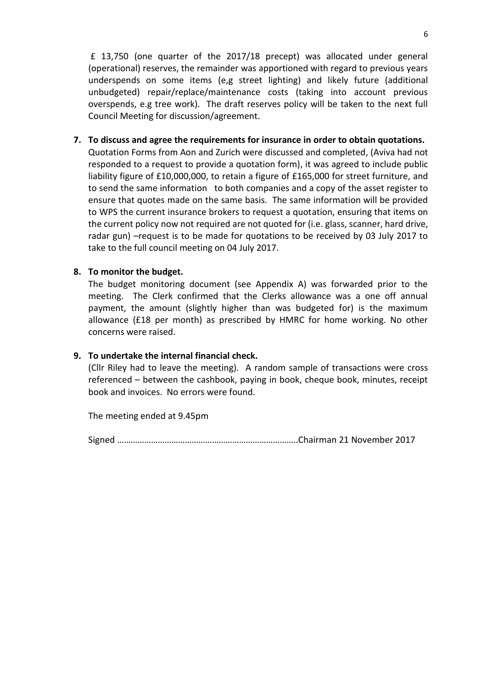£ 13,750 (one quarter of the 2017/18 precept) was allocated under general (operational) reserves, the remainder was apportioned with regard to previous years underspends on some items (e,g street lighting) and likely future (additional unbudgeted) repair/replace/maintenance costs (taking into account previous overspends, e.g tree work). The draft reserves policy will be taken to the next full Council Meeting for discussion/agreement.

**7. To discuss and agree the requirements for insurance in order to obtain quotations.** Quotation Forms from Aon and Zurich were discussed and completed, (Aviva had not responded to a request to provide a quotation form), it was agreed to include public liability figure of £10,000,000, to retain a figure of £165,000 for street furniture, and to send the same information to both companies and a copy of the asset register to ensure that quotes made on the same basis. The same information will be provided to WPS the current insurance brokers to request a quotation, ensuring that items on the current policy now not required are not quoted for (i.e. glass, scanner, hard drive, radar gun) –request is to be made for quotations to be received by 03 July 2017 to take to the full council meeting on 04 July 2017.

# **8. To monitor the budget.**

The budget monitoring document (see Appendix A) was forwarded prior to the meeting. The Clerk confirmed that the Clerks allowance was a one off annual payment, the amount (slightly higher than was budgeted for) is the maximum allowance (£18 per month) as prescribed by HMRC for home working. No other concerns were raised.

## **9. To undertake the internal financial check.**

(Cllr Riley had to leave the meeting). A random sample of transactions were cross referenced – between the cashbook, paying in book, cheque book, minutes, receipt book and invoices. No errors were found.

The meeting ended at 9.45pm

Signed ……………………………………………………………………..Chairman 21 November 2017